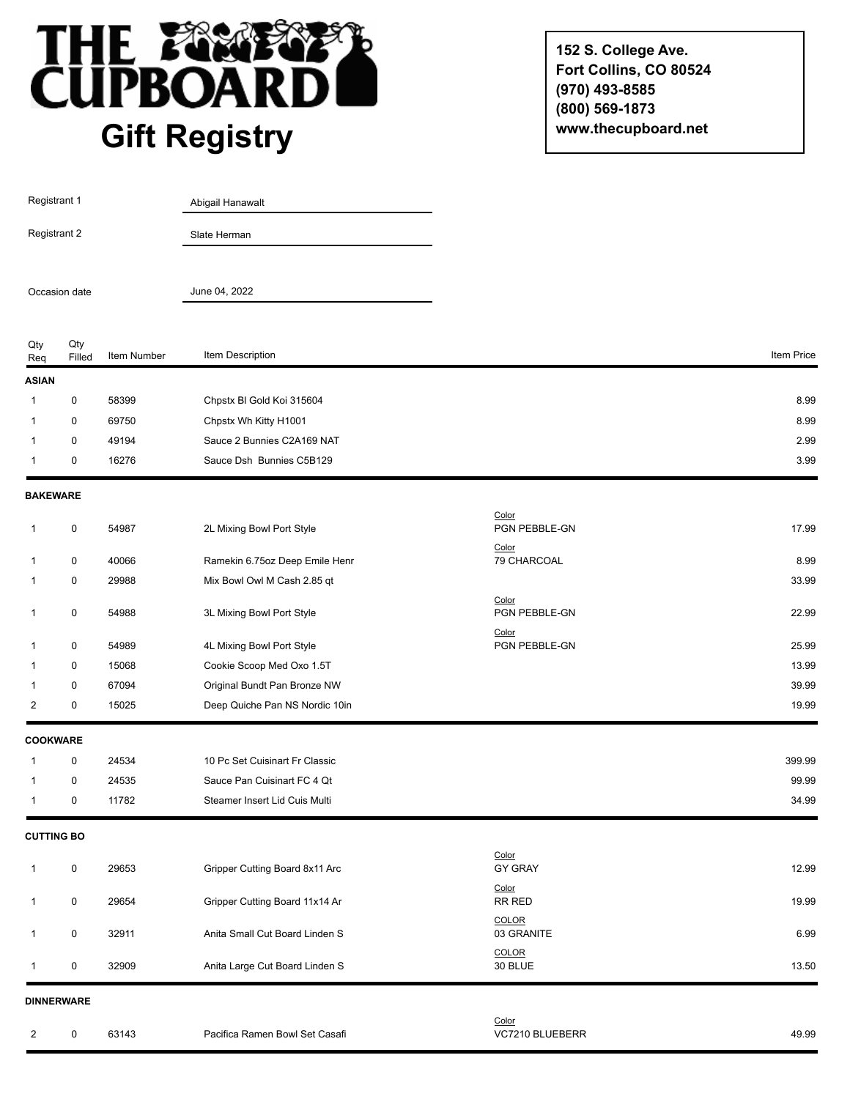

**152 S. College Ave. Fort Collins, CO 80524 (970) 493-8585 (800) 569-1873 www.thecupboard.net**

| <b>Registrant 1</b>           |                   |             | Abigail Hanawalt               |                                 |            |
|-------------------------------|-------------------|-------------|--------------------------------|---------------------------------|------------|
| Registrant 2<br>Occasion date |                   |             | Slate Herman                   |                                 |            |
|                               |                   |             | June 04, 2022                  |                                 |            |
| Qty<br>Req                    | Qty<br>Filled     | Item Number | Item Description               |                                 | Item Price |
| <b>ASIAN</b>                  |                   |             |                                |                                 |            |
| -1                            | 0                 | 58399       | Chpstx BI Gold Koi 315604      |                                 | 8.99       |
| 1                             | 0                 | 69750       | Chpstx Wh Kitty H1001          |                                 | 8.99       |
| 1                             | 0                 | 49194       | Sauce 2 Bunnies C2A169 NAT     |                                 | 2.99       |
| $\mathbf{1}$                  | 0                 | 16276       | Sauce Dsh Bunnies C5B129       |                                 | 3.99       |
|                               | <b>BAKEWARE</b>   |             |                                |                                 |            |
| 1                             | $\pmb{0}$         | 54987       | 2L Mixing Bowl Port Style      | Color<br>PGN PEBBLE-GN<br>Color | 17.99      |
| 1                             | 0                 | 40066       | Ramekin 6.75oz Deep Emile Henr | 79 CHARCOAL                     | 8.99       |
| 1                             | 0                 | 29988       | Mix Bowl Owl M Cash 2.85 qt    |                                 | 33.99      |
| $\mathbf{1}$                  | 0                 | 54988       | 3L Mixing Bowl Port Style      | Color<br>PGN PEBBLE-GN          | 22.99      |
| 1                             | 0                 | 54989       | 4L Mixing Bowl Port Style      | Color<br>PGN PEBBLE-GN          | 25.99      |
| 1                             | 0                 | 15068       | Cookie Scoop Med Oxo 1.5T      |                                 | 13.99      |
| 1                             | 0                 | 67094       | Original Bundt Pan Bronze NW   |                                 | 39.99      |
| 2                             | 0                 | 15025       | Deep Quiche Pan NS Nordic 10in |                                 | 19.99      |
|                               | <b>COOKWARE</b>   |             |                                |                                 |            |
| 1                             | 0                 | 24534       | 10 Pc Set Cuisinart Fr Classic |                                 | 399.99     |
| 1                             | 0                 | 24535       | Sauce Pan Cuisinart FC 4 Qt    |                                 | 99.99      |
| 1                             | 0                 | 11782       | Steamer Insert Lid Cuis Multi  |                                 | 34.99      |
|                               | <b>CUTTING BO</b> |             |                                |                                 |            |
| 1                             | 0                 | 29653       | Gripper Cutting Board 8x11 Arc | Color<br><b>GY GRAY</b>         | 12.99      |
| $\mathbf{1}$                  | 0                 | 29654       | Gripper Cutting Board 11x14 Ar | Color<br>RR RED                 | 19.99      |
| 1                             | 0                 | 32911       | Anita Small Cut Board Linden S | <b>COLOR</b><br>03 GRANITE      | 6.99       |
| $\mathbf 1$                   | 0                 | 32909       | Anita Large Cut Board Linden S | <b>COLOR</b><br>30 BLUE         | 13.50      |
|                               | <b>DINNERWARE</b> |             |                                |                                 |            |
| $\overline{2}$                | $\mathbf 0$       | 63143       | Pacifica Ramen Bowl Set Casafi | Color<br>VC7210 BLUEBERR        | 49.99      |